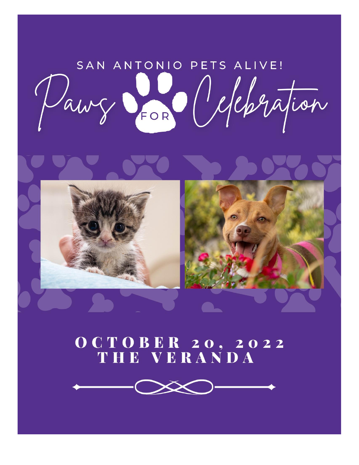SAN ANTONIO PETS ALIVE! Pawy Son Occhration



## *CORER 20, 2022<br>THE VERANDA*

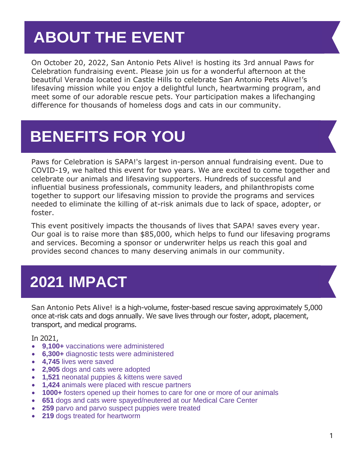## **ABOUT THE EVENT**

On October 20, 2022, San Antonio Pets Alive! is hosting its 3rd annual Paws for Celebration fundraising event. Please join us for a wonderful afternoon at the beautiful Veranda located in Castle Hills to celebrate San Antonio Pets Alive!'s lifesaving mission while you enjoy a delightful lunch, heartwarming program, and meet some of our adorable rescue pets. Your participation makes a lifechanging difference for thousands of homeless dogs and cats in our community.

## **BENEFITS FOR YOU**

Paws for Celebration is SAPA!'s largest in-person annual fundraising event. Due to COVID-19, we halted this event for two years. We are excited to come together and celebrate our animals and lifesaving supporters. Hundreds of successful and influential business professionals, community leaders, and philanthropists come together to support our lifesaving mission to provide the programs and services needed to eliminate the killing of at-risk animals due to lack of space, adopter, or foster.

This event positively impacts the thousands of lives that SAPA! saves every year. Our goal is to raise more than \$85,000, which helps to fund our lifesaving programs and services. Becoming a sponsor or underwriter helps us reach this goal and provides second chances to many deserving animals in our community.

## **2021 IMPACT**

San Antonio Pets Alive! is a high-volume, foster-based rescue saving approximately 5,000 once at-risk cats and dogs annually. We save lives through our foster, adopt, placement, transport, and medical programs.

In 2021,

- **9,100+** vaccinations were administered
- **6,300+** diagnostic tests were administered
- **4,745** lives were saved
- **2,905** dogs and cats were adopted
- **1,521** neonatal puppies & kittens were saved
- **1,424** animals were placed with rescue partners
- **1000+** fosters opened up their homes to care for one or more of our animals
- **651** dogs and cats were spayed/neutered at our Medical Care Center
- **259** parvo and parvo suspect puppies were treated
- **219** dogs treated for heartworm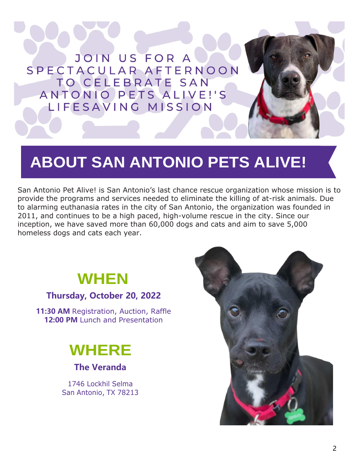

## **ABOUT SAN ANTONIO PETS ALIVE!**

San Antonio Pet Alive! is San Antonio's last chance rescue organization whose mission is to provide the programs and services needed to eliminate the killing of at-risk animals. Due to alarming euthanasia rates in the city of San Antonio, the organization was founded in 2011, and continues to be a high paced, high-volume rescue in the city. Since our inception, we have saved more than 60,000 dogs and cats and aim to save 5,000 homeless dogs and cats each year.

## **WHEN**

#### **Thursday, October 20, 2022**

**11:30 AM** Registration, Auction, Raffle **12:00 PM** Lunch and Presentation

## **WHERE**

**The Veranda**

1746 Lockhil Selma San Antonio, TX 78213

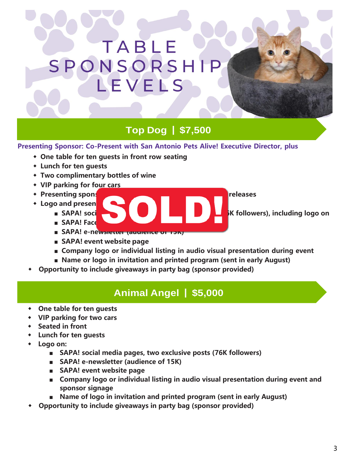## TABLE SPONSORSH LEVELS

#### **Top Dog | \$7,500**

#### **Presenting Sponsor: Co-Present with San Antonio Pets Alive! Executive Director, plus**

- **◆ One table for ten guests in front row seating**
- **◆ Lunch for ten guests**
- **◆ Two complimentary bottles of wine**
- **◆ VIP parking for four cars**
- **◆ Presenting sponsor acknowledgement in all event press releases**
- **•** Logo and presen
	- **■ SAPA!** social media pages on **the exclusive posts (76K followers), including logo on**
	- **SAPA! Face**
	- **■ SAPA! e-newsletter (audience of 15K)**
	- **■ SAPA! event website page**
	- **■ Company logo or individual listing in audio visual presentation during event**
	- **■ Name or logo in invitation and printed program (sent in early August)**
- **◆ Opportunity to include giveaways in party bag (sponsor provided)**

#### **Animal Angel | \$5,000**

- **◆ One table for ten guests**
- **◆ VIP parking for two cars**
- **◆ Seated in front**
- **◆ Lunch for ten guests**
- **◆ Logo on:** 
	- **■ SAPA! social media pages, two exclusive posts (76K followers)**
	- **■ SAPA! e-newsletter (audience of 15K)**
	- **SAPA!** event website page
	- **Company logo or individual listing in audio visual presentation during event and sponsor signage**
	- **Name of logo in invitation and printed program (sent in early August)**
- **◆ Opportunity to include giveaways in party bag (sponsor provided)**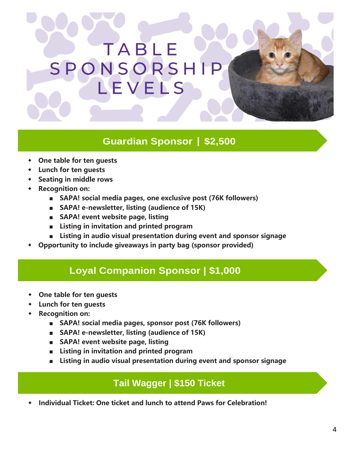## TABLE SPONSORSHIP LEVELS

#### **Guardian Sponsor | \$2,500**

- **◆ One table for ten guests**
- **◆ Lunch for ten guests**
- **◆ Seating in middle rows**
- **◆ Recognition on:** 
	- **■ SAPA! social media pages, one exclusive post (76K followers)**
	- **SAPA!** e-newsletter, listing (audience of 15K)
	- **■ SAPA! event website page, listing**
	- **■ Listing in invitation and printed program**
	- **■ Listing in audio visual presentation during event and sponsor signage**
- **◆ Opportunity to include giveaways in party bag (sponsor provided)**

#### **Loyal Companion Sponsor | \$1,000**

- **◆ One table for ten guests**
- **◆ Lunch for ten guests**
- **◆ Recognition on:** 
	- **■ SAPA! social media pages, sponsor post (76K followers)**
	- **SAPA!** e-newsletter, listing (audience of 15K)
	- **SAPA!** event website page, listing
	- **■ Listing in invitation and printed program**
	- **■ Listing in audio visual presentation during event and sponsor signage**

#### **Tail Wagger | \$150 Ticket**

**◆ Individual Ticket: One ticket and lunch to attend Paws for Celebration!**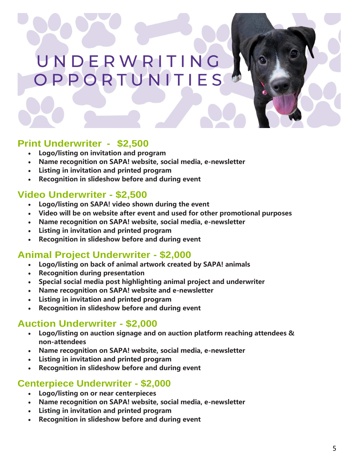# UNDERWRITING<br>OPPORTUNITIES

#### **Print Underwriter - \$2,500**

- **Logo/listing on invitation and program**
- **Name recognition on SAPA! website, social media, e-newsletter**
- **Listing in invitation and printed program**
- **Recognition in slideshow before and during event**

#### **Video Underwriter - \$2,500**

- **Logo/listing on SAPA! video shown during the event**
- **Video will be on website after event and used for other promotional purposes**
- **Name recognition on SAPA! website, social media, e-newsletter**
- **Listing in invitation and printed program**
- **Recognition in slideshow before and during event**

#### **Animal Project Underwriter - \$2,000**

- **Logo/listing on back of animal artwork created by SAPA! animals**
- **Recognition during presentation**
- **Special social media post highlighting animal project and underwriter**
- **Name recognition on SAPA! website and e-newsletter**
- **Listing in invitation and printed program**
- **Recognition in slideshow before and during event**

#### **Auction Underwriter - \$2,000**

- **Logo/listing on auction signage and on auction platform reaching attendees & non-attendees**
- **Name recognition on SAPA! website, social media, e-newsletter**
- **Listing in invitation and printed program**
- **Recognition in slideshow before and during event**

#### **Centerpiece Underwriter - \$2,000**

- **Logo/listing on or near centerpieces**
- **Name recognition on SAPA! website, social media, e-newsletter**
- **Listing in invitation and printed program**
- **Recognition in slideshow before and during event**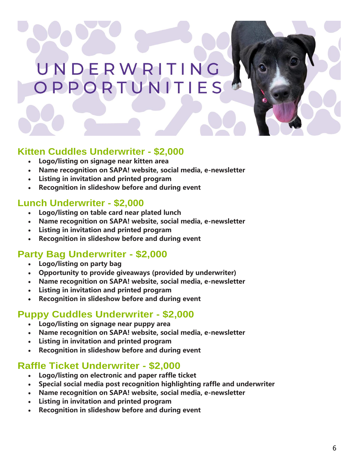## UNDERWRITING OPPORTUNITIES

#### **Kitten Cuddles Underwriter - \$2,000**

- **Logo/listing on signage near kitten area**
- **Name recognition on SAPA! website, social media, e-newsletter**
- **Listing in invitation and printed program**
- **Recognition in slideshow before and during event**

#### **Lunch Underwriter - \$2,000**

- **Logo/listing on table card near plated lunch**
- **Name recognition on SAPA! website, social media, e-newsletter**
- **Listing in invitation and printed program**
- **Recognition in slideshow before and during event**

#### **Party Bag Underwriter - \$2,000**

- **Logo/listing on party bag**
- **Opportunity to provide giveaways (provided by underwriter)**
- **Name recognition on SAPA! website, social media, e-newsletter**
- **Listing in invitation and printed program**
- **Recognition in slideshow before and during event**

#### **Puppy Cuddles Underwriter - \$2,000**

- **Logo/listing on signage near puppy area**
- **Name recognition on SAPA! website, social media, e-newsletter**
- **Listing in invitation and printed program**
- **Recognition in slideshow before and during event**

#### **Raffle Ticket Underwriter - \$2,000**

- **Logo/listing on electronic and paper raffle ticket**
- **Special social media post recognition highlighting raffle and underwriter**
- **Name recognition on SAPA! website, social media, e-newsletter**
- **Listing in invitation and printed program**
- **Recognition in slideshow before and during event**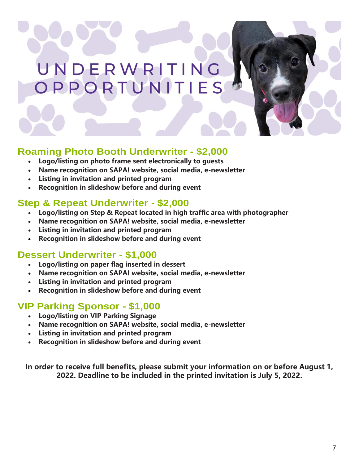## UNDERWRITING OPPORTUNITIES



#### **Roaming Photo Booth Underwriter - \$2,000**

- **Logo/listing on photo frame sent electronically to guests**
- **Name recognition on SAPA! website, social media, e-newsletter**
- **Listing in invitation and printed program**
- **Recognition in slideshow before and during event**

#### **Step & Repeat Underwriter - \$2,000**

- **Logo/listing on Step & Repeat located in high traffic area with photographer**
- **Name recognition on SAPA! website, social media, e-newsletter**
- **Listing in invitation and printed program**
- **Recognition in slideshow before and during event**

#### **Dessert Underwriter - \$1,000**

- **Logo/listing on paper flag inserted in dessert**
- **Name recognition on SAPA! website, social media, e-newsletter**
- **Listing in invitation and printed program**
- **Recognition in slideshow before and during event**

#### **VIP Parking Sponsor - \$1,000**

- **Logo/listing on VIP Parking Signage**
- **Name recognition on SAPA! website, social media, e-newsletter**
- **Listing in invitation and printed program**
- **Recognition in slideshow before and during event**

**In order to receive full benefits, please submit your information on or before August 1, 2022. Deadline to be included in the printed invitation is July 5, 2022.**